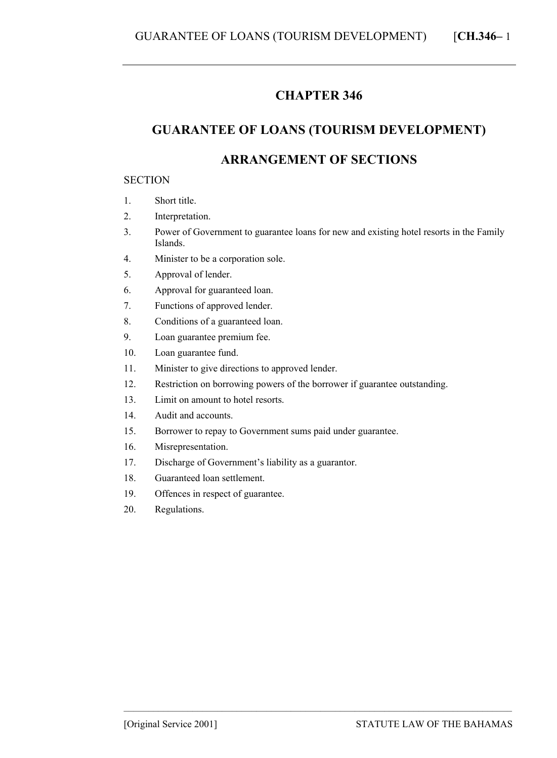### **CHAPTER 346**

# **GUARANTEE OF LOANS (TOURISM DEVELOPMENT)**

## **ARRANGEMENT OF SECTIONS**

#### **SECTION**

- 1. Short title.
- 2. Interpretation.
- 3. Power of Government to guarantee loans for new and existing hotel resorts in the Family Islands.
- 4. Minister to be a corporation sole.
- 5. Approval of lender.
- 6. Approval for guaranteed loan.
- 7. Functions of approved lender.
- 8. Conditions of a guaranteed loan.
- 9. Loan guarantee premium fee.
- 10. Loan guarantee fund.
- 11. Minister to give directions to approved lender.
- 12. Restriction on borrowing powers of the borrower if guarantee outstanding.

- 13. Limit on amount to hotel resorts.
- 14. Audit and accounts.
- 15. Borrower to repay to Government sums paid under guarantee.
- 16. Misrepresentation.
- 17. Discharge of Government's liability as a guarantor.
- 18. Guaranteed loan settlement.
- 19. Offences in respect of guarantee.
- 20. Regulations.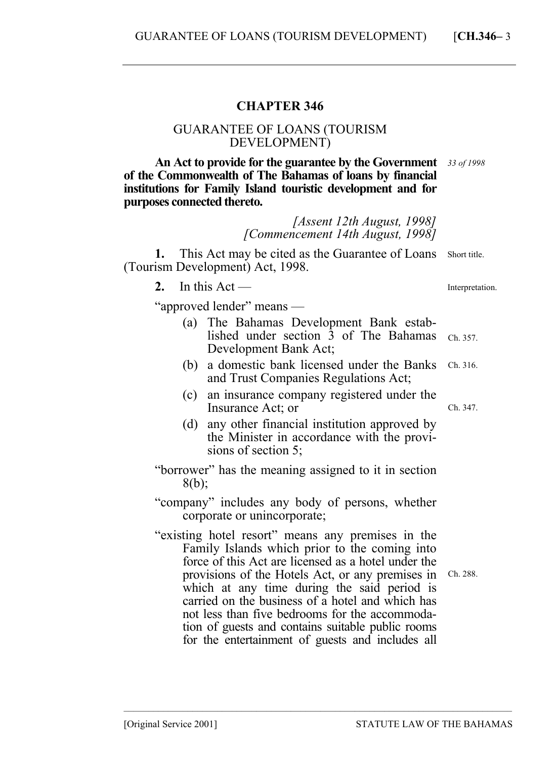### **CHAPTER 346**

### GUARANTEE OF LOANS (TOURISM DEVELOPMENT)

**An Act to provide for the guarantee by the Government**  *33 of 1998*  **of the Commonwealth of The Bahamas of loans by financial institutions for Family Island touristic development and for purposes connected thereto.** 

> *[Assent 12th August, 1998] [Commencement 14th August, 1998]*

1. This Act may be cited as the Guarantee of Loans Short title. (Tourism Development) Act, 1998.

**2.** In this Act —

Interpretation.

Ch. 347.

"approved lender" means —

- (a) The Bahamas Development Bank established under section  $\bar{3}$  of The Bahamas  $_{Ch. 357.}$ Development Bank Act;
- (b) a domestic bank licensed under the Banks and Trust Companies Regulations Act; Ch. 316.
- (c) an insurance company registered under the Insurance Act; or
- (d) any other financial institution approved by the Minister in accordance with the provisions of section 5;
- "borrower" has the meaning assigned to it in section  $8(b)$ ;
- "company" includes any body of persons, whether corporate or unincorporate;
- "existing hotel resort" means any premises in the Family Islands which prior to the coming into force of this Act are licensed as a hotel under the provisions of the Hotels Act, or any premises in which at any time during the said period is carried on the business of a hotel and which has not less than five bedrooms for the accommodation of guests and contains suitable public rooms for the entertainment of guests and includes all

Ch. 288.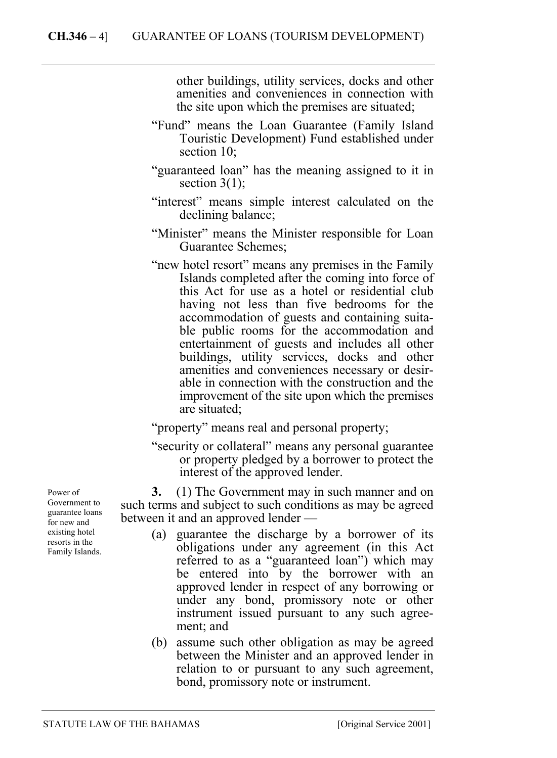other buildings, utility services, docks and other amenities and conveniences in connection with the site upon which the premises are situated;

- "Fund" means the Loan Guarantee (Family Island Touristic Development) Fund established under section 10;
- "guaranteed loan" has the meaning assigned to it in section  $3(1)$ ;
- "interest" means simple interest calculated on the declining balance;
- "Minister" means the Minister responsible for Loan Guarantee Schemes;
- "new hotel resort" means any premises in the Family Islands completed after the coming into force of this Act for use as a hotel or residential club having not less than five bedrooms for the accommodation of guests and containing suitable public rooms for the accommodation and entertainment of guests and includes all other buildings, utility services, docks and other amenities and conveniences necessary or desirable in connection with the construction and the improvement of the site upon which the premises are situated;

"property" means real and personal property;

"security or collateral" means any personal guarantee or property pledged by a borrower to protect the interest of the approved lender.

**3.** (1) The Government may in such manner and on such terms and subject to such conditions as may be agreed between it and an approved lender —

- (a) guarantee the discharge by a borrower of its obligations under any agreement (in this Act referred to as a "guaranteed loan") which may be entered into by the borrower with an approved lender in respect of any borrowing or under any bond, promissory note or other instrument issued pursuant to any such agreement; and
- (b) assume such other obligation as may be agreed between the Minister and an approved lender in relation to or pursuant to any such agreement, bond, promissory note or instrument.

Power of Government to guarantee loans for new and existing hotel resorts in the Family Islands.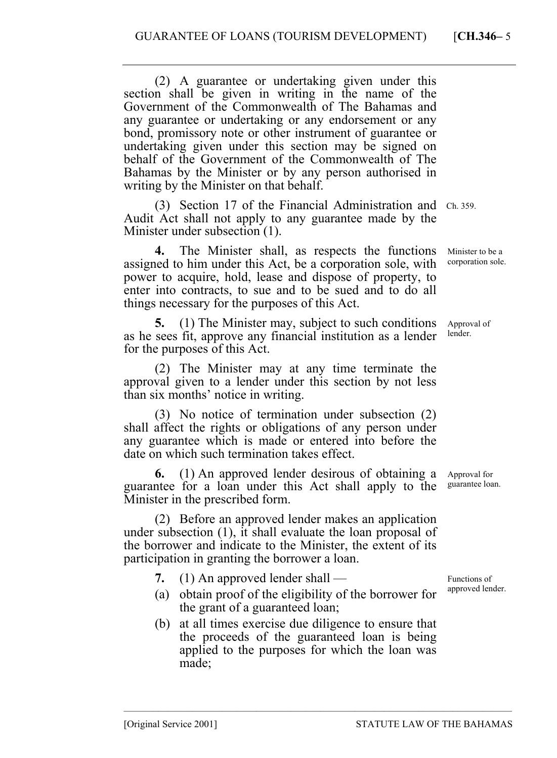(2) A guarantee or undertaking given under this section shall be given in writing in the name of the Government of the Commonwealth of The Bahamas and any guarantee or undertaking or any endorsement or any bond, promissory note or other instrument of guarantee or undertaking given under this section may be signed on behalf of the Government of the Commonwealth of The Bahamas by the Minister or by any person authorised in writing by the Minister on that behalf.

(3) Section 17 of the Financial Administration and Ch. 359. Audit Act shall not apply to any guarantee made by the Minister under subsection (1).

**4.** The Minister shall, as respects the functions assigned to him under this Act, be a corporation sole, with power to acquire, hold, lease and dispose of property, to enter into contracts, to sue and to be sued and to do all things necessary for the purposes of this Act.

**5.** (1) The Minister may, subject to such conditions as he sees fit, approve any financial institution as a lender for the purposes of this Act.

(2) The Minister may at any time terminate the approval given to a lender under this section by not less than six months' notice in writing.

(3) No notice of termination under subsection (2) shall affect the rights or obligations of any person under any guarantee which is made or entered into before the date on which such termination takes effect.

**6.** (1) An approved lender desirous of obtaining a guarantee for a loan under this Act shall apply to the Minister in the prescribed form.

(2) Before an approved lender makes an application under subsection (1), it shall evaluate the loan proposal of the borrower and indicate to the Minister, the extent of its participation in granting the borrower a loan.

- **7.** (1) An approved lender shall —
- (a) obtain proof of the eligibility of the borrower for the grant of a guaranteed loan;
- (b) at all times exercise due diligence to ensure that the proceeds of the guaranteed loan is being applied to the purposes for which the loan was made;

–––––––––––––––––––––––––––––––––––––––––––––––––––––––––––––––––––––––––––––––

Minister to be a corporation sole.

Approval of lender.

Approval for guarantee loan.

Functions of approved lender.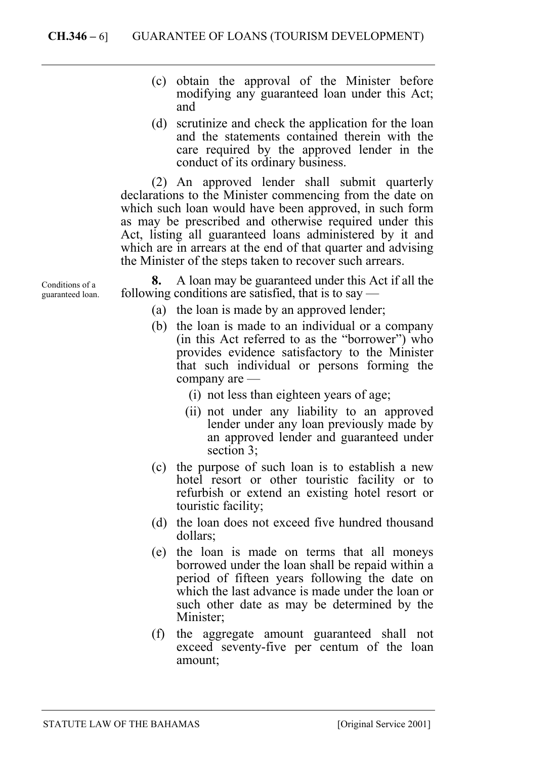- (c) obtain the approval of the Minister before modifying any guaranteed loan under this Act; and
- (d) scrutinize and check the application for the loan and the statements contained therein with the care required by the approved lender in the conduct of its ordinary business.

(2) An approved lender shall submit quarterly declarations to the Minister commencing from the date on which such loan would have been approved, in such form as may be prescribed and otherwise required under this Act, listing all guaranteed loans administered by it and which are in arrears at the end of that quarter and advising the Minister of the steps taken to recover such arrears.

**8.** A loan may be guaranteed under this Act if all the following conditions are satisfied, that is to say —

- (a) the loan is made by an approved lender;
- (b) the loan is made to an individual or a company (in this Act referred to as the "borrower") who provides evidence satisfactory to the Minister that such individual or persons forming the company are —
	- (i) not less than eighteen years of age;
	- (ii) not under any liability to an approved lender under any loan previously made by an approved lender and guaranteed under section 3;
- (c) the purpose of such loan is to establish a new hotel resort or other touristic facility or to refurbish or extend an existing hotel resort or touristic facility;
- (d) the loan does not exceed five hundred thousand dollars;
- (e) the loan is made on terms that all moneys borrowed under the loan shall be repaid within a period of fifteen years following the date on which the last advance is made under the loan or such other date as may be determined by the Minister:
- (f) the aggregate amount guaranteed shall not exceed seventy-five per centum of the loan amount;

Conditions of a guaranteed loan.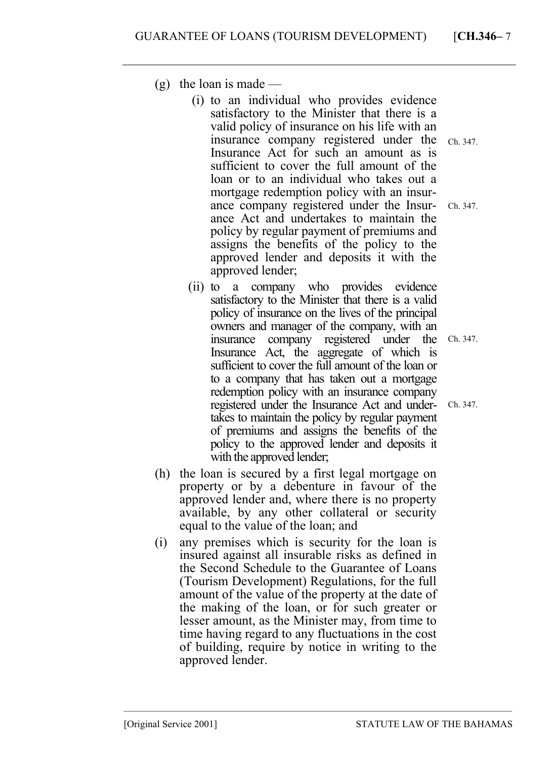- $(g)$  the loan is made
	- (i) to an individual who provides evidence satisfactory to the Minister that there is a valid policy of insurance on his life with an insurance company registered under the Insurance Act for such an amount as is sufficient to cover the full amount of the loan or to an individual who takes out a mortgage redemption policy with an insurance company registered under the Insurance Act and undertakes to maintain the policy by regular payment of premiums and assigns the benefits of the policy to the approved lender and deposits it with the approved lender;
	- (ii) to a company who provides evidence satisfactory to the Minister that there is a valid policy of insurance on the lives of the principal owners and manager of the company, with an insurance company registered under the Insurance Act, the aggregate of which is sufficient to cover the full amount of the loan or to a company that has taken out a mortgage redemption policy with an insurance company registered under the Insurance Act and undertakes to maintain the policy by regular payment of premiums and assigns the benefits of the policy to the approved lender and deposits it with the approved lender;
- (h) the loan is secured by a first legal mortgage on property or by a debenture in favour of the approved lender and, where there is no property available, by any other collateral or security equal to the value of the loan; and
- (i) any premises which is security for the loan is insured against all insurable risks as defined in the Second Schedule to the Guarantee of Loans (Tourism Development) Regulations, for the full amount of the value of the property at the date of the making of the loan, or for such greater or lesser amount, as the Minister may, from time to time having regard to any fluctuations in the cost of building, require by notice in writing to the approved lender.

–––––––––––––––––––––––––––––––––––––––––––––––––––––––––––––––––––––––––––––––

Ch. 347.

Ch. 347.

Ch. 347.

Ch. 347.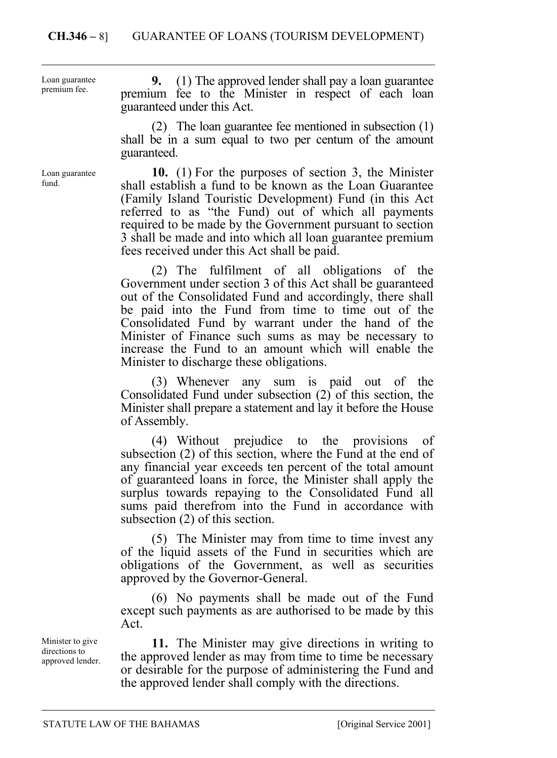Loan guarantee premium fee.

Loan guarantee fund.

**9.** (1) The approved lender shall pay a loan guarantee premium fee to the Minister in respect of each loan guaranteed under this Act.

(2) The loan guarantee fee mentioned in subsection (1) shall be in a sum equal to two per centum of the amount guaranteed.

**10.** (1) For the purposes of section 3, the Minister shall establish a fund to be known as the Loan Guarantee (Family Island Touristic Development) Fund (in this Act referred to as "the Fund) out of which all payments required to be made by the Government pursuant to section 3 shall be made and into which all loan guarantee premium fees received under this Act shall be paid.

(2) The fulfilment of all obligations of the Government under section 3 of this Act shall be guaranteed out of the Consolidated Fund and accordingly, there shall be paid into the Fund from time to time out of the Consolidated Fund by warrant under the hand of the Minister of Finance such sums as may be necessary to increase the Fund to an amount which will enable the Minister to discharge these obligations.

(3) Whenever any sum is paid out of the Consolidated Fund under subsection (2) of this section, the Minister shall prepare a statement and lay it before the House of Assembly.

(4) Without prejudice to the provisions of subsection (2) of this section, where the Fund at the end of any financial year exceeds ten percent of the total amount of guaranteed loans in force, the Minister shall apply the surplus towards repaying to the Consolidated Fund all sums paid therefrom into the Fund in accordance with subsection (2) of this section.

(5) The Minister may from time to time invest any of the liquid assets of the Fund in securities which are obligations of the Government, as well as securities approved by the Governor-General.

(6) No payments shall be made out of the Fund except such payments as are authorised to be made by this Act.

**11.** The Minister may give directions in writing to the approved lender as may from time to time be necessary or desirable for the purpose of administering the Fund and the approved lender shall comply with the directions.

Minister to give directions to approved lender.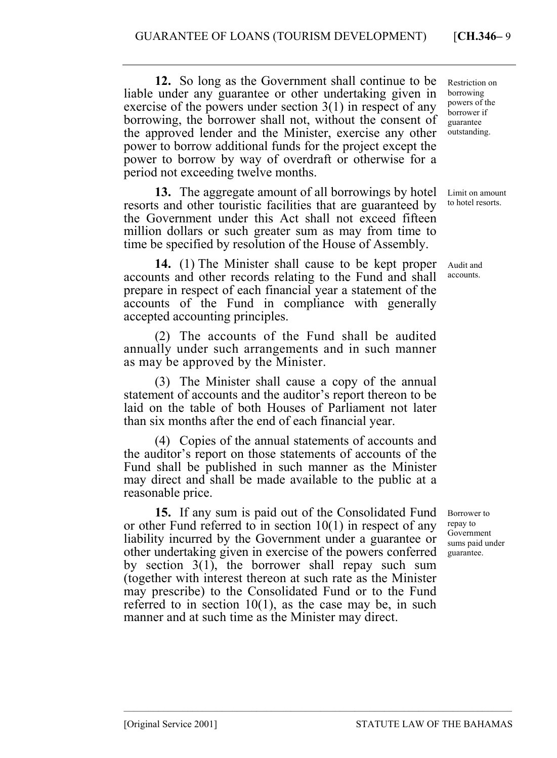**12.** So long as the Government shall continue to be liable under any guarantee or other undertaking given in exercise of the powers under section 3(1) in respect of any borrowing, the borrower shall not, without the consent of the approved lender and the Minister, exercise any other power to borrow additional funds for the project except the power to borrow by way of overdraft or otherwise for a period not exceeding twelve months.

**13.** The aggregate amount of all borrowings by hotel resorts and other touristic facilities that are guaranteed by the Government under this Act shall not exceed fifteen million dollars or such greater sum as may from time to time be specified by resolution of the House of Assembly.

**14.** (1) The Minister shall cause to be kept proper accounts and other records relating to the Fund and shall prepare in respect of each financial year a statement of the accounts of the Fund in compliance with generally accepted accounting principles.

(2) The accounts of the Fund shall be audited annually under such arrangements and in such manner as may be approved by the Minister.

(3) The Minister shall cause a copy of the annual statement of accounts and the auditor's report thereon to be laid on the table of both Houses of Parliament not later than six months after the end of each financial year.

(4) Copies of the annual statements of accounts and the auditor's report on those statements of accounts of the Fund shall be published in such manner as the Minister may direct and shall be made available to the public at a reasonable price.

**15.** If any sum is paid out of the Consolidated Fund or other Fund referred to in section 10(1) in respect of any liability incurred by the Government under a guarantee or other undertaking given in exercise of the powers conferred by section 3(1), the borrower shall repay such sum (together with interest thereon at such rate as the Minister may prescribe) to the Consolidated Fund or to the Fund referred to in section  $10(1)$ , as the case may be, in such manner and at such time as the Minister may direct.

–––––––––––––––––––––––––––––––––––––––––––––––––––––––––––––––––––––––––––––––

Restriction on borrowing powers of the borrower if guarantee outstanding.

Limit on amount to hotel resorts.

Audit and accounts.

Borrower to repay to Government sums paid under guarantee.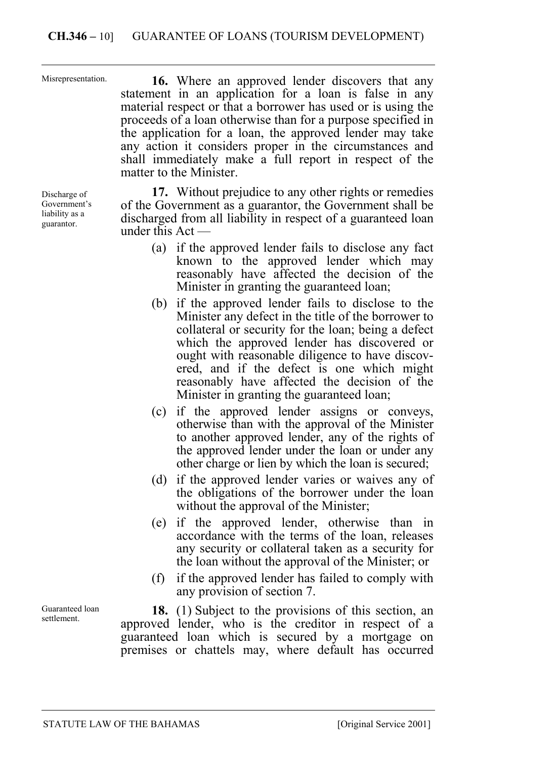Misrepresentation.

**16.** Where an approved lender discovers that any statement in an application for a loan is false in any material respect or that a borrower has used or is using the proceeds of a loan otherwise than for a purpose specified in the application for a loan, the approved lender may take any action it considers proper in the circumstances and shall immediately make a full report in respect of the matter to the Minister.

Discharge of Government's liability as a guarantor.

**17.** Without prejudice to any other rights or remedies of the Government as a guarantor, the Government shall be discharged from all liability in respect of a guaranteed loan under this Act —

- (a) if the approved lender fails to disclose any fact known to the approved lender which may reasonably have affected the decision of the Minister in granting the guaranteed loan;
- (b) if the approved lender fails to disclose to the Minister any defect in the title of the borrower to collateral or security for the loan; being a defect which the approved lender has discovered or ought with reasonable diligence to have discovered, and if the defect is one which might reasonably have affected the decision of the Minister in granting the guaranteed loan;
- (c) if the approved lender assigns or conveys, otherwise than with the approval of the Minister to another approved lender, any of the rights of the approved lender under the loan or under any other charge or lien by which the loan is secured;
- (d) if the approved lender varies or waives any of the obligations of the borrower under the loan without the approval of the Minister;
- (e) if the approved lender, otherwise than in accordance with the terms of the loan, releases any security or collateral taken as a security for the loan without the approval of the Minister; or
- (f) if the approved lender has failed to comply with any provision of section 7.

**18.** (1) Subject to the provisions of this section, an approved lender, who is the creditor in respect of a guaranteed loan which is secured by a mortgage on premises or chattels may, where default has occurred

Guaranteed loan settlement.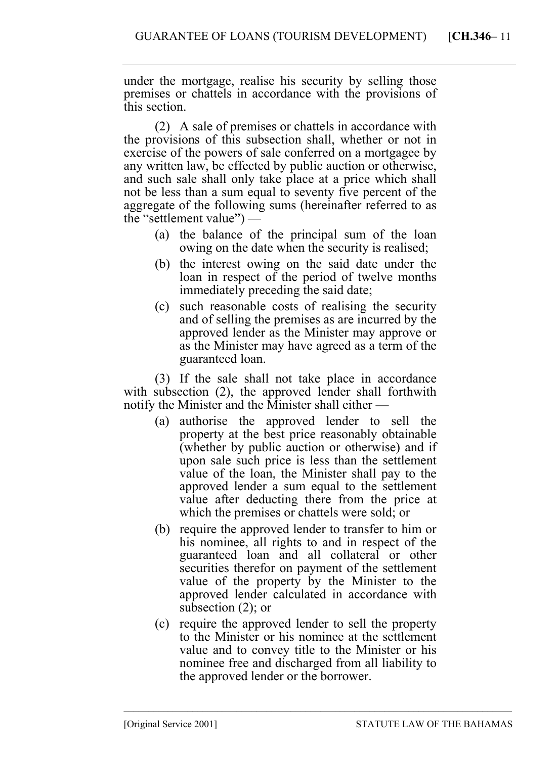under the mortgage, realise his security by selling those premises or chattels in accordance with the provisions of this section.

(2) A sale of premises or chattels in accordance with the provisions of this subsection shall, whether or not in exercise of the powers of sale conferred on a mortgagee by any written law, be effected by public auction or otherwise, and such sale shall only take place at a price which shall not be less than a sum equal to seventy five percent of the aggregate of the following sums (hereinafter referred to as the "settlement value") —

- (a) the balance of the principal sum of the loan owing on the date when the security is realised;
- (b) the interest owing on the said date under the loan in respect of the period of twelve months immediately preceding the said date;
- (c) such reasonable costs of realising the security and of selling the premises as are incurred by the approved lender as the Minister may approve or as the Minister may have agreed as a term of the guaranteed loan.

(3) If the sale shall not take place in accordance with subsection (2), the approved lender shall forthwith notify the Minister and the Minister shall either —

- (a) authorise the approved lender to sell the property at the best price reasonably obtainable (whether by public auction or otherwise) and if upon sale such price is less than the settlement value of the loan, the Minister shall pay to the approved lender a sum equal to the settlement value after deducting there from the price at which the premises or chattels were sold; or
- (b) require the approved lender to transfer to him or his nominee, all rights to and in respect of the guaranteed loan and all collateral or other securities therefor on payment of the settlement value of the property by the Minister to the approved lender calculated in accordance with subsection (2); or
- (c) require the approved lender to sell the property to the Minister or his nominee at the settlement value and to convey title to the Minister or his nominee free and discharged from all liability to the approved lender or the borrower.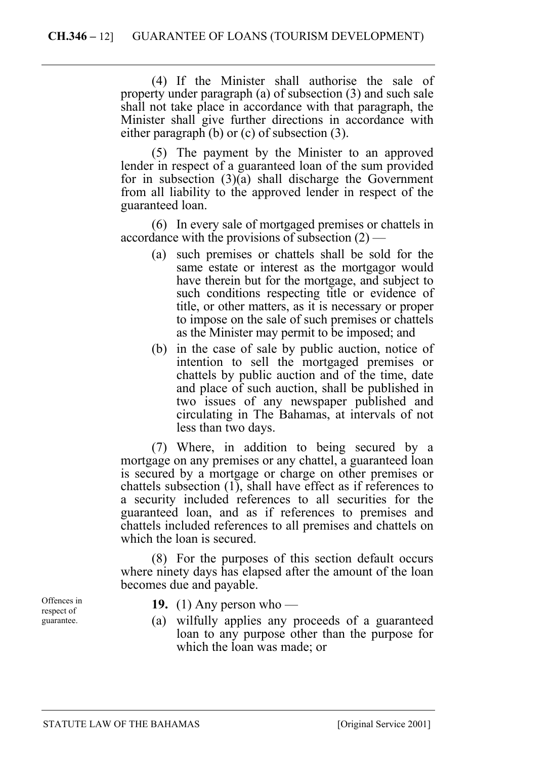(4) If the Minister shall authorise the sale of property under paragraph (a) of subsection (3) and such sale shall not take place in accordance with that paragraph, the Minister shall give further directions in accordance with either paragraph (b) or (c) of subsection (3).

(5) The payment by the Minister to an approved lender in respect of a guaranteed loan of the sum provided for in subsection  $(3)(a)$  shall discharge the Government from all liability to the approved lender in respect of the guaranteed loan.

(6) In every sale of mortgaged premises or chattels in accordance with the provisions of subsection  $(2)$  —

- (a) such premises or chattels shall be sold for the same estate or interest as the mortgagor would have therein but for the mortgage, and subject to such conditions respecting title or evidence of title, or other matters, as it is necessary or proper to impose on the sale of such premises or chattels as the Minister may permit to be imposed; and
- (b) in the case of sale by public auction, notice of intention to sell the mortgaged premises or chattels by public auction and of the time, date and place of such auction, shall be published in two issues of any newspaper published and circulating in The Bahamas, at intervals of not less than two days.

(7) Where, in addition to being secured by a mortgage on any premises or any chattel, a guaranteed loan is secured by a mortgage or charge on other premises or chattels subsection (1), shall have effect as if references to a security included references to all securities for the guaranteed loan, and as if references to premises and chattels included references to all premises and chattels on which the loan is secured.

(8) For the purposes of this section default occurs where ninety days has elapsed after the amount of the loan becomes due and payable.

Offences in respect of guarantee.

- **19.** (1) Any person who —
- (a) wilfully applies any proceeds of a guaranteed loan to any purpose other than the purpose for which the loan was made; or